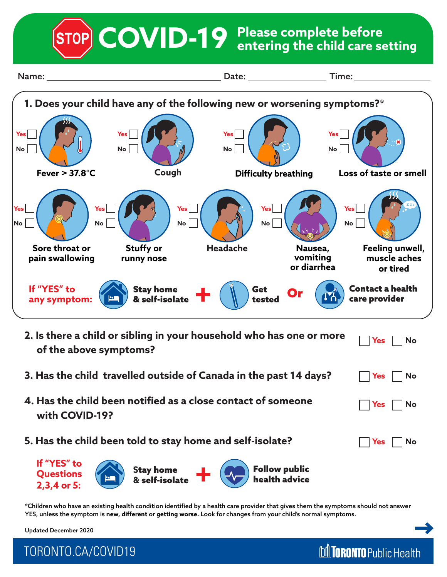**Please complete before COVID-19 entering the child care setting**





\*Children who have an existing health condition identified by a health care provider that gives them the symptoms should not answer YES, unless the symptom is **new, different** or **getting worse.** Look for changes from your child's normal symptoms.

**M** TORONTO Public Health

Updated December 2020

TORONTO.CA/COVID19